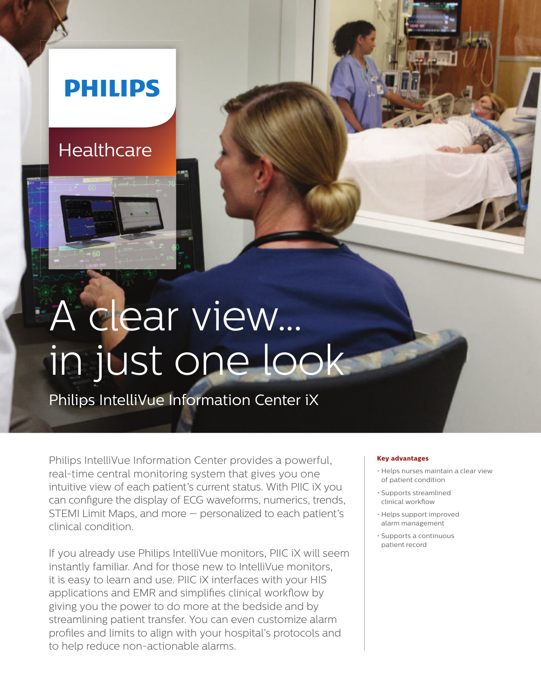## **PHILIPS**

### **Healthcare**

# A clear view… in just one look

Philips IntelliVue Information Center iX

Philips IntelliVue Information Center provides a powerful, real-time central monitoring system that gives you one intuitive view of each patient's current status. With PIIC iX you can configure the display of ECG waveforms, numerics, trends, STEMI Limit Maps, and more — personalized to each patient's clinical condition.

If you already use Philips IntelliVue monitors, PIIC iX will seem instantly familiar. And for those new to IntelliVue monitors, it is easy to learn and use. PIIC iX interfaces with your HIS applications and EMR and simplifies clinical workflow by giving you the power to do more at the bedside and by streamlining patient transfer. You can even customize alarm profiles and limits to align with your hospital's protocols and to help reduce non-actionable alarms.

#### **Key advantages**

- Helps nurses maintain a clear view of patient condition
- Supports streamlined clinical workflow
- Helps support improved alarm management
- Supports a continuous patient record